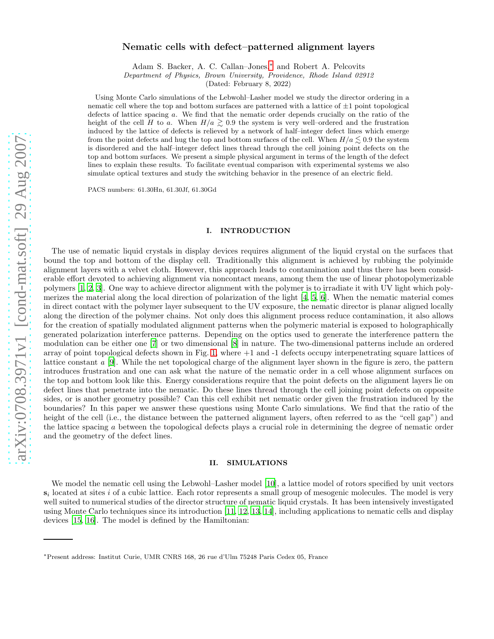# Nematic cells with defect–patterned alignment layers

Adam S. Backer, A. C. Callan–Jones,[∗](#page-0-0) and Robert A. Pelcovits

Department of Physics, Brown University, Providence, Rhode Island 02912

(Dated: February 8, 2022)

Using Monte Carlo simulations of the Lebwohl–Lasher model we study the director ordering in a nematic cell where the top and bottom surfaces are patterned with a lattice of  $\pm 1$  point topological defects of lattice spacing a. We find that the nematic order depends crucially on the ratio of the height of the cell H to a. When  $H/a \gtrsim 0.9$  the system is very well–ordered and the frustration induced by the lattice of defects is relieved by a network of half–integer defect lines which emerge from the point defects and hug the top and bottom surfaces of the cell. When  $H/a \lesssim 0.9$  the system is disordered and the half–integer defect lines thread through the cell joining point defects on the top and bottom surfaces. We present a simple physical argument in terms of the length of the defect lines to explain these results. To facilitate eventual comparison with experimental systems we also simulate optical textures and study the switching behavior in the presence of an electric field.

PACS numbers: 61.30Hn, 61.30Jf, 61.30Gd

## I. INTRODUCTION

The use of nematic liquid crystals in display devices requires alignment of the liquid crystal on the surfaces that bound the top and bottom of the display cell. Traditionally this alignment is achieved by rubbing the polyimide alignment layers with a velvet cloth. However, this approach leads to contamination and thus there has been considerable effort devoted to achieving alignment via noncontact means, among them the use of linear photopolymerizable polymers [\[1,](#page-4-0) [2](#page-4-1), [3](#page-4-2)]. One way to achieve director alignment with the polymer is to irradiate it with UV light which polymerizes the material along the local direction of polarization of the light  $[4, 5, 6]$  $[4, 5, 6]$  $[4, 5, 6]$ . When the nematic material comes in direct contact with the polymer layer subsequent to the UV exposure, the nematic director is planar aligned locally along the direction of the polymer chains. Not only does this alignment process reduce contamination, it also allows for the creation of spatially modulated alignment patterns when the polymeric material is exposed to holographically generated polarization interference patterns. Depending on the optics used to generate the interference pattern the modulation can be either one [\[7](#page-5-0)] or two dimensional [\[8\]](#page-5-1) in nature. The two-dimensional patterns include an ordered array of point topological defects shown in Fig. [1,](#page-1-0) where +1 and -1 defects occupy interpenetrating square lattices of lattice constant a [\[9](#page-5-2)]. While the net topological charge of the alignment layer shown in the figure is zero, the pattern introduces frustration and one can ask what the nature of the nematic order in a cell whose alignment surfaces on the top and bottom look like this. Energy considerations require that the point defects on the alignment layers lie on defect lines that penetrate into the nematic. Do these lines thread through the cell joining point defects on opposite sides, or is another geometry possible? Can this cell exhibit net nematic order given the frustration induced by the boundaries? In this paper we answer these questions using Monte Carlo simulations. We find that the ratio of the height of the cell (i.e., the distance between the patterned alignment layers, often referred to as the "cell gap") and the lattice spacing a between the topological defects plays a crucial role in determining the degree of nematic order and the geometry of the defect lines.

## II. SIMULATIONS

We model the nematic cell using the Lebwohl–Lasher model [\[10\]](#page-5-3), a lattice model of rotors specified by unit vectors  $s_i$  located at sites i of a cubic lattice. Each rotor represents a small group of mesogenic molecules. The model is very well suited to numerical studies of the director structure of nematic liquid crystals. It has been intensively investigated using Monte Carlo techniques since its introduction [\[11,](#page-5-4) [12](#page-5-5), [13,](#page-5-6) [14\]](#page-5-7), including applications to nematic cells and display devices [\[15,](#page-5-8) [16\]](#page-5-9). The model is defined by the Hamiltonian:

<span id="page-0-0"></span><sup>∗</sup>Present address: Institut Curie, UMR CNRS 168, 26 rue d'Ulm 75248 Paris Cedex 05, France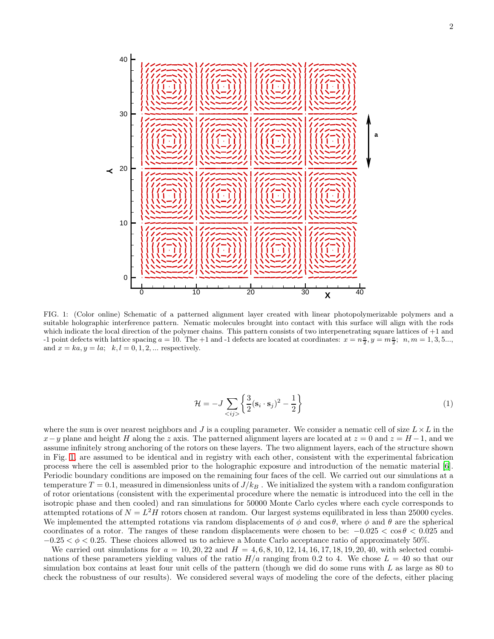

<span id="page-1-0"></span>FIG. 1: (Color online) Schematic of a patterned alignment layer created with linear photopolymerizable polymers and a suitable holographic interference pattern. Nematic molecules brought into contact with this surface will align with the rods which indicate the local direction of the polymer chains. This pattern consists of two interpenetrating square lattices of +1 and -1 point defects with lattice spacing  $a = 10$ . The +1 and -1 defects are located at coordinates:  $x = n\frac{a}{2}$ ,  $y = m\frac{a}{2}$ ;  $n, m = 1, 3, 5...$ and  $x = ka$ ,  $y = la$ ;  $k, l = 0, 1, 2, ...$  respectively.

$$
\mathcal{H} = -J \sum_{\langle ij \rangle} \left\{ \frac{3}{2} (\mathbf{s}_i \cdot \mathbf{s}_j)^2 - \frac{1}{2} \right\} \tag{1}
$$

where the sum is over nearest neighbors and J is a coupling parameter. We consider a nematic cell of size  $L \times L$  in the  $x-y$  plane and height H along the z axis. The patterned alignment layers are located at  $z = 0$  and  $z = H - 1$ , and we assume infinitely strong anchoring of the rotors on these layers. The two alignment layers, each of the structure shown in Fig. [1,](#page-1-0) are assumed to be identical and in registry with each other, consistent with the experimental fabrication process where the cell is assembled prior to the holographic exposure and introduction of the nematic material [\[6\]](#page-4-5). Periodic boundary conditions are imposed on the remaining four faces of the cell. We carried out our simulations at a temperature  $T = 0.1$ , measured in dimensionless units of  $J/k_B$ . We initialized the system with a random configuration of rotor orientations (consistent with the experimental procedure where the nematic is introduced into the cell in the isotropic phase and then cooled) and ran simulations for 50000 Monte Carlo cycles where each cycle corresponds to attempted rotations of  $N = L^2 H$  rotors chosen at random. Our largest systems equilibrated in less than 25000 cycles. We implemented the attempted rotations via random displacements of  $\phi$  and cos  $\theta$ , where  $\phi$  and  $\theta$  are the spherical coordinates of a rotor. The ranges of these random displacements were chosen to be:  $-0.025 < \cos \theta < 0.025$  and  $-0.25 < \phi < 0.25$ . These choices allowed us to achieve a Monte Carlo acceptance ratio of approximately 50%.

We carried out simulations for  $a = 10, 20, 22$  and  $H = 4, 6, 8, 10, 12, 14, 16, 17, 18, 19, 20, 40$ , with selected combinations of these parameters yielding values of the ratio  $H/a$  ranging from 0.2 to 4. We chose  $L = 40$  so that our simulation box contains at least four unit cells of the pattern (though we did do some runs with  $L$  as large as 80 to check the robustness of our results). We considered several ways of modeling the core of the defects, either placing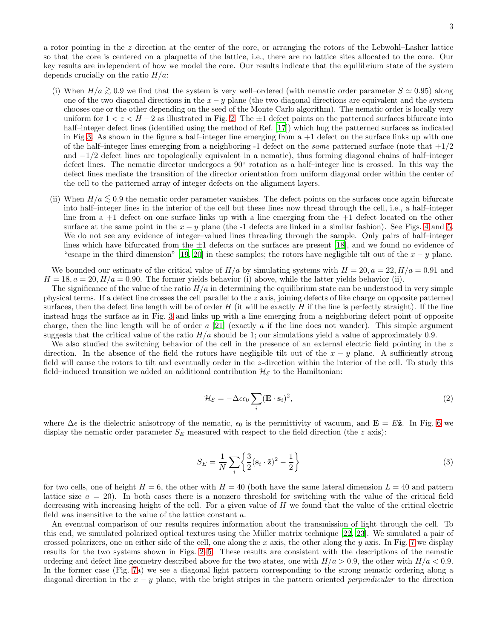a rotor pointing in the z direction at the center of the core, or arranging the rotors of the Lebwohl–Lasher lattice so that the core is centered on a plaquette of the lattice, i.e., there are no lattice sites allocated to the core. Our key results are independent of how we model the core. Our results indicate that the equilibrium state of the system depends crucially on the ratio  $H/a$ :

- (i) When  $H/a \gtrsim 0.9$  we find that the system is very well–ordered (with nematic order parameter  $S \simeq 0.95$ ) along one of the two diagonal directions in the  $x - y$  plane (the two diagonal directions are equivalent and the system chooses one or the other depending on the seed of the Monte Carlo algorithm). The nematic order is locally very uniform for  $1 < z < H-2$  as illustrated in Fig. [2.](#page-3-0) The  $\pm 1$  defect points on the patterned surfaces bifurcate into half–integer defect lines (identified using the method of Ref. [\[17](#page-5-10)]) which hug the patterned surfaces as indicated in Fig [3.](#page-4-6) As shown in the figure a half–integer line emerging from  $a + 1$  defect on the surface links up with one of the half–integer lines emerging from a neighboring -1 defect on the *same* patterned surface (note that  $+1/2$ and −1/2 defect lines are topologically equivalent in a nematic), thus forming diagonal chains of half–integer defect lines. The nematic director undergoes a 90° rotation as a half-integer line is crossed. In this way the defect lines mediate the transition of the director orientation from uniform diagonal order within the center of the cell to the patterned array of integer defects on the alignment layers.
- (ii) When  $H/a \lesssim 0.9$  the nematic order parameter vanishes. The defect points on the surfaces once again bifurcate into half–integer lines in the interior of the cell but these lines now thread through the cell, i.e., a half–integer line from a +1 defect on one surface links up with a line emerging from the +1 defect located on the other surface at the same point in the  $x - y$  plane (the -1 defects are linked in a similar fashion). See Figs. [4](#page-5-11) and [5.](#page-6-0) We do not see any evidence of integer–valued lines threading through the sample. Only pairs of half–integer lines which have bifurcated from the  $\pm 1$  defects on the surfaces are present [\[18](#page-5-12)], and we found no evidence of "escape in the third dimension" [\[19,](#page-5-13) [20\]](#page-5-14) in these samples; the rotors have negligible tilt out of the  $x - y$  plane.

We bounded our estimate of the critical value of  $H/a$  by simulating systems with  $H = 20, a = 22, H/a = 0.91$  and  $H = 18, a = 20, H/a = 0.90$ . The former yields behavior (i) above, while the latter yields behavior (ii).

The significance of the value of the ratio  $H/a$  in determining the equilibrium state can be understood in very simple physical terms. If a defect line crosses the cell parallel to the z axis, joining defects of like charge on opposite patterned surfaces, then the defect line length will be of order  $H$  (it will be exactly  $H$  if the line is perfectly straight). If the line instead hugs the surface as in Fig. [3](#page-4-6) and links up with a line emerging from a neighboring defect point of opposite charge, then the line length will be of order a [\[21](#page-6-1)] (exactly a if the line does not wander). This simple argument suggests that the critical value of the ratio  $H/a$  should be 1; our simulations yield a value of approximately 0.9.

We also studied the switching behavior of the cell in the presence of an external electric field pointing in the z direction. In the absence of the field the rotors have negligible tilt out of the  $x - y$  plane. A sufficiently strong field will cause the rotors to tilt and eventually order in the z-direction within the interior of the cell. To study this field–induced transition we added an additional contribution  $\mathcal{H}_{\mathcal{E}}$  to the Hamiltonian:

$$
\mathcal{H}_{\mathcal{E}} = -\Delta \epsilon \epsilon_0 \sum_{i} (\mathbf{E} \cdot \mathbf{s}_i)^2, \tag{2}
$$

where  $\Delta \epsilon$  is the dielectric anisotropy of the nematic,  $\epsilon_0$  is the permittivity of vacuum, and  $\mathbf{E} = E\hat{\mathbf{z}}$ . In Fig. [6](#page-6-2) we display the nematic order parameter  $S_E$  measured with respect to the field direction (the z axis):

$$
S_E = \frac{1}{N} \sum_{i} \left\{ \frac{3}{2} (\mathbf{s}_i \cdot \hat{\mathbf{z}})^2 - \frac{1}{2} \right\} \tag{3}
$$

for two cells, one of height  $H = 6$ , the other with  $H = 40$  (both have the same lateral dimension  $L = 40$  and pattern lattice size  $a = 20$ . In both cases there is a nonzero threshold for switching with the value of the critical field decreasing with increasing height of the cell. For a given value of  $H$  we found that the value of the critical electric field was insensitive to the value of the lattice constant a.

An eventual comparison of our results requires information about the transmission of light through the cell. To this end, we simulated polarized optical textures using the Müller matrix technique [\[22,](#page-6-3) [23](#page-6-4)]. We simulated a pair of crossed polarizers, one on either side of the cell, one along the x axis, the other along the y axis. In Fig. [7](#page-7-0) we display results for the two systems shown in Figs. [2–](#page-3-0)[5.](#page-6-0) These results are consistent with the descriptions of the nematic ordering and defect line geometry described above for the two states, one with  $H/a > 0.9$ , the other with  $H/a < 0.9$ . In the former case (Fig. [7a](#page-7-0)) we see a diagonal light pattern corresponding to the strong nematic ordering along a diagonal direction in the  $x - y$  plane, with the bright stripes in the pattern oriented *perpendicular* to the direction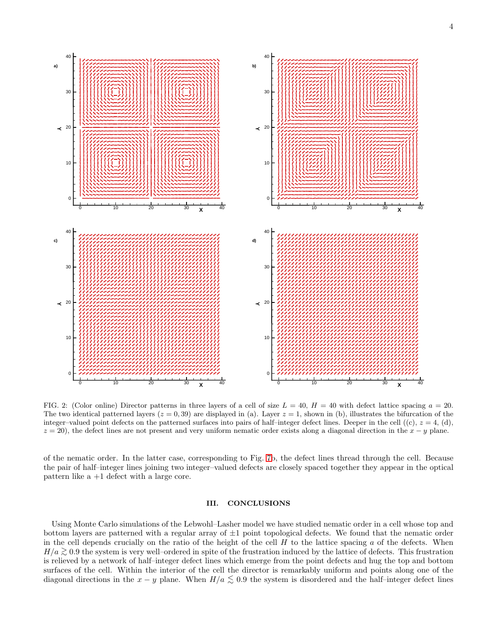

<span id="page-3-0"></span>FIG. 2: (Color online) Director patterns in three layers of a cell of size  $L = 40$ ,  $H = 40$  with defect lattice spacing  $a = 20$ . The two identical patterned layers  $(z = 0, 39)$  are displayed in (a). Layer  $z = 1$ , shown in (b), illustrates the bifurcation of the integer–valued point defects on the patterned surfaces into pairs of half–integer defect lines. Deeper in the cell  $((c), z = 4, (d))$ ,  $z = 20$ , the defect lines are not present and very uniform nematic order exists along a diagonal direction in the  $x - y$  plane.

of the nematic order. In the latter case, corresponding to Fig. [7b](#page-7-0), the defect lines thread through the cell. Because the pair of half–integer lines joining two integer–valued defects are closely spaced together they appear in the optical pattern like a +1 defect with a large core.

## III. CONCLUSIONS

Using Monte Carlo simulations of the Lebwohl–Lasher model we have studied nematic order in a cell whose top and bottom layers are patterned with a regular array of  $\pm 1$  point topological defects. We found that the nematic order in the cell depends crucially on the ratio of the height of the cell  $H$  to the lattice spacing  $a$  of the defects. When  $H/a \gtrsim 0.9$  the system is very well–ordered in spite of the frustration induced by the lattice of defects. This frustration is relieved by a network of half–integer defect lines which emerge from the point defects and hug the top and bottom surfaces of the cell. Within the interior of the cell the director is remarkably uniform and points along one of the diagonal directions in the  $x - y$  plane. When  $H/a \lesssim 0.9$  the system is disordered and the half–integer defect lines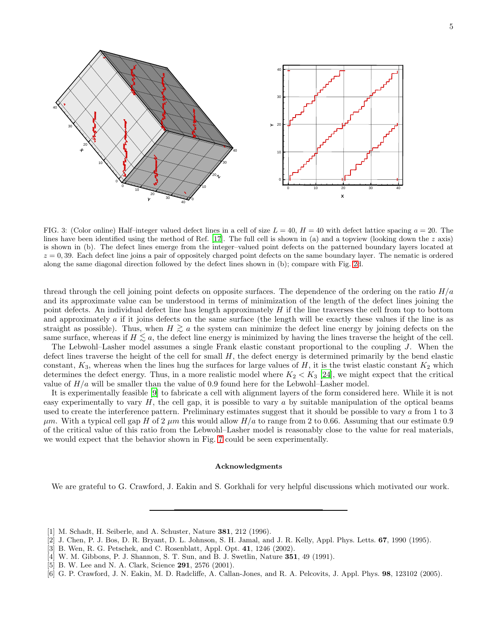

<span id="page-4-6"></span>FIG. 3: (Color online) Half-integer valued defect lines in a cell of size  $L = 40$ ,  $H = 40$  with defect lattice spacing  $a = 20$ . The lines have been identified using the method of Ref. [\[17](#page-5-10)]. The full cell is shown in (a) and a topview (looking down the  $z$  axis) is shown in (b). The defect lines emerge from the integer–valued point defects on the patterned boundary layers located at  $z = 0,39$ . Each defect line joins a pair of oppositely charged point defects on the same boundary layer. The nematic is ordered along the same diagonal direction followed by the defect lines shown in (b); compare with Fig. [2d](#page-3-0).

thread through the cell joining point defects on opposite surfaces. The dependence of the ordering on the ratio  $H/a$ and its approximate value can be understood in terms of minimization of the length of the defect lines joining the point defects. An individual defect line has length approximately  $H$  if the line traverses the cell from top to bottom and approximately a if it joins defects on the same surface (the length will be exactly these values if the line is as straight as possible). Thus, when  $H \gtrsim a$  the system can minimize the defect line energy by joining defects on the same surface, whereas if  $H \lesssim a$ , the defect line energy is minimized by having the lines traverse the height of the cell.

The Lebwohl–Lasher model assumes a single Frank elastic constant proportional to the coupling J. When the defect lines traverse the height of the cell for small  $H$ , the defect energy is determined primarily by the bend elastic constant,  $K_3$ , whereas when the lines hug the surfaces for large values of H, it is the twist elastic constant  $K_2$  which determines the defect energy. Thus, in a more realistic model where  $K_2 < K_3$  [\[24\]](#page-6-5), we might expect that the critical value of  $H/a$  will be smaller than the value of 0.9 found here for the Lebwohl–Lasher model.

It is experimentally feasible [\[9](#page-5-2)] to fabricate a cell with alignment layers of the form considered here. While it is not easy experimentally to vary  $H$ , the cell gap, it is possible to vary a by suitable manipulation of the optical beams used to create the interference pattern. Preliminary estimates suggest that it should be possible to vary a from 1 to 3  $\mu$ m. With a typical cell gap H of 2  $\mu$ m this would allow  $H/a$  to range from 2 to 0.66. Assuming that our estimate 0.9 of the critical value of this ratio from the Lebwohl–Lasher model is reasonably close to the value for real materials, we would expect that the behavior shown in Fig. [7](#page-7-0) could be seen experimentally.

#### Acknowledgments

We are grateful to G. Crawford, J. Eakin and S. Gorkhali for very helpful discussions which motivated our work.

- <span id="page-4-0"></span>[1] M. Schadt, H. Seiberle, and A. Schuster, Nature 381, 212 (1996).
- <span id="page-4-1"></span>[2] J. Chen, P. J. Bos, D. R. Bryant, D. L. Johnson, S. H. Jamal, and J. R. Kelly, Appl. Phys. Letts. 67, 1990 (1995).
- <span id="page-4-2"></span>[3] B. Wen, R. G. Petschek, and C. Rosenblatt, Appl. Opt. 41, 1246 (2002).
- <span id="page-4-3"></span>[4] W. M. Gibbons, P. J. Shannon, S. T. Sun, and B. J. Swetlin, Nature 351, 49 (1991).
- <span id="page-4-4"></span>[5] B. W. Lee and N. A. Clark, Science 291, 2576 (2001).
- <span id="page-4-5"></span>[6] G. P. Crawford, J. N. Eakin, M. D. Radcliffe, A. Callan-Jones, and R. A. Pelcovits, J. Appl. Phys. 98, 123102 (2005).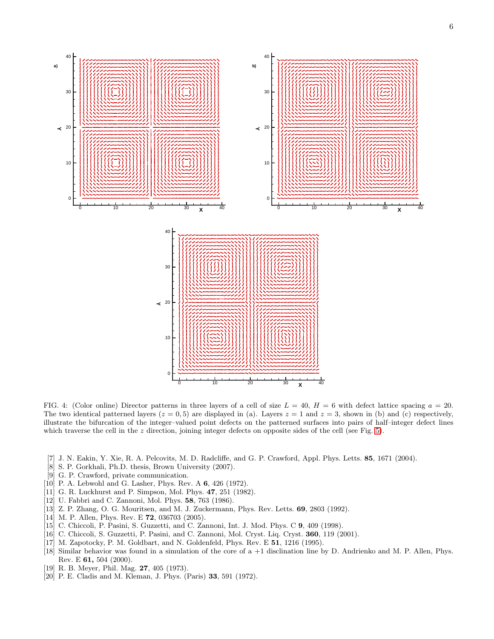

<span id="page-5-11"></span>FIG. 4: (Color online) Director patterns in three layers of a cell of size  $L = 40$ ,  $H = 6$  with defect lattice spacing  $a = 20$ . The two identical patterned layers ( $z = 0, 5$ ) are displayed in (a). Layers  $z = 1$  and  $z = 3$ , shown in (b) and (c) respectively, illustrate the bifurcation of the integer–valued point defects on the patterned surfaces into pairs of half–integer defect lines which traverse the cell in the z direction, joining integer defects on opposite sides of the cell (see Fig. [5\)](#page-6-0).

- <span id="page-5-0"></span>[7] J. N. Eakin, Y. Xie, R. A. Pelcovits, M. D. Radcliffe, and G. P. Crawford, Appl. Phys. Letts. 85, 1671 (2004).
- <span id="page-5-1"></span>[8] S. P. Gorkhali, Ph.D. thesis, Brown University (2007).
- <span id="page-5-2"></span>[9] G. P. Crawford, private communication.
- <span id="page-5-3"></span>[10] P. A. Lebwohl and G. Lasher, Phys. Rev. A 6, 426 (1972).
- <span id="page-5-4"></span>[11] G. R. Luckhurst and P. Simpson, Mol. Phys. 47, 251 (1982).
- <span id="page-5-5"></span>[12] U. Fabbri and C. Zannoni, Mol. Phys. **58**, 763 (1986).
- <span id="page-5-6"></span>[13] Z. P. Zhang, O. G. Mouritsen, and M. J. Zuckermann, Phys. Rev. Letts. 69, 2803 (1992).
- <span id="page-5-7"></span>[14] M. P. Allen, Phys. Rev. E **72**, 036703 (2005).
- <span id="page-5-8"></span>[15] C. Chiccoli, P. Pasini, S. Guzzetti, and C. Zannoni, Int. J. Mod. Phys. C 9, 409 (1998).
- <span id="page-5-9"></span>[16] C. Chiccoli, S. Guzzetti, P. Pasini, and C. Zannoni, Mol. Cryst. Liq. Cryst. **360**, 119 (2001).
- <span id="page-5-10"></span>[17] M. Zapotocky, P. M. Goldbart, and N. Goldenfeld, Phys. Rev. E 51, 1216 (1995).
- <span id="page-5-12"></span>[18] Similar behavior was found in a simulation of the core of a +1 disclination line by D. Andrienko and M. P. Allen, Phys. Rev. E 61, 504 (2000).
- <span id="page-5-13"></span>[19] R. B. Meyer, Phil. Mag. 27, 405 (1973).
- <span id="page-5-14"></span>[20] P. E. Cladis and M. Kleman, J. Phys. (Paris) 33, 591 (1972).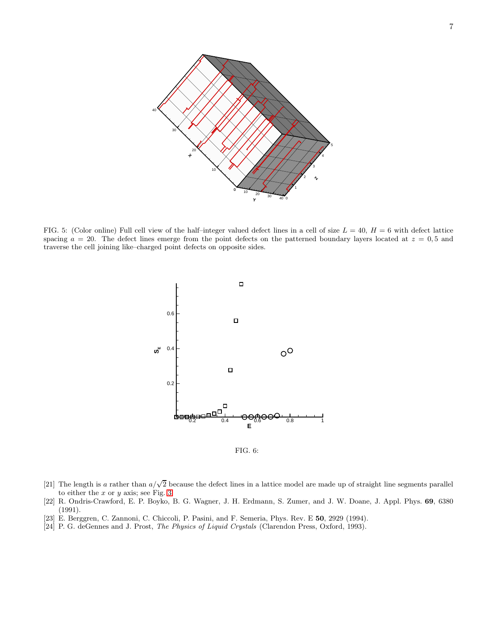

<span id="page-6-0"></span>FIG. 5: (Color online) Full cell view of the half-integer valued defect lines in a cell of size  $L = 40$ ,  $H = 6$  with defect lattice spacing  $a = 20$ . The defect lines emerge from the point defects on the patterned boundary layers located at  $z = 0.5$  and traverse the cell joining like–charged point defects on opposite sides.



<span id="page-6-2"></span>FIG. 6:

- <span id="page-6-1"></span>[21] The length is a rather than  $a/\sqrt{2}$  because the defect lines in a lattice model are made up of straight line segments parallel to either the  $x$  or  $y$  axis; see Fig. [3.](#page-4-6)
- <span id="page-6-3"></span>[22] R. Ondris-Crawford, E. P. Boyko, B. G. Wagner, J. H. Erdmann, S. Zumer, and J. W. Doane, J. Appl. Phys. 69, 6380 (1991).
- <span id="page-6-4"></span>[23] E. Berggren, C. Zannoni, C. Chiccoli, P. Pasini, and F. Semeria, Phys. Rev. E 50, 2929 (1994).
- <span id="page-6-5"></span>[24] P. G. deGennes and J. Prost, The Physics of Liquid Crystals (Clarendon Press, Oxford, 1993).